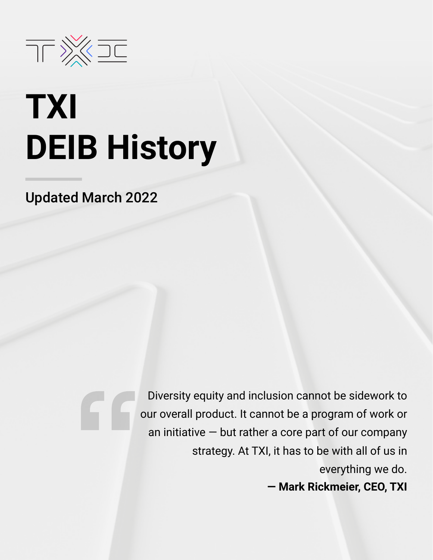

# **TXI DEIB History**

Updated March 2022

Diversity equity and inclusion cannot be sidework to our overall product. It cannot be a program of work or an initiative  $-$  but rather a core part of our company strategy. At TXI, it has to be with all of us in everything we do. **— Mark Rickmeier, CEO, TXI**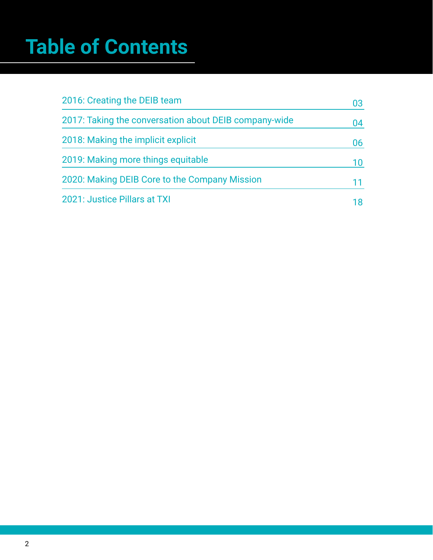# **Table of Contents**

| 2016: Creating the DEIB team                          | 03 |
|-------------------------------------------------------|----|
| 2017: Taking the conversation about DEIB company-wide | 04 |
| 2018: Making the implicit explicit                    | 06 |
| 2019: Making more things equitable                    | 10 |
| 2020: Making DEIB Core to the Company Mission         |    |
| 2021: Justice Pillars at TXI                          |    |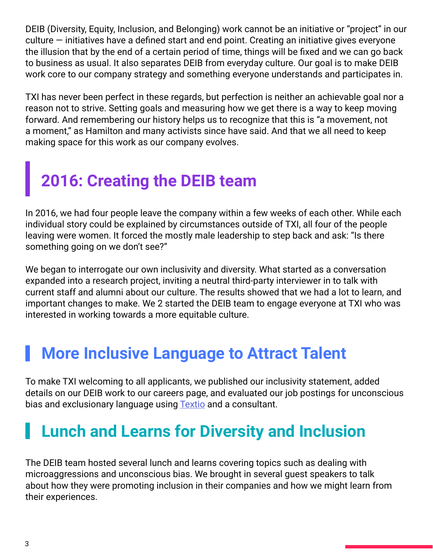<span id="page-2-0"></span>DEIB (Diversity, Equity, Inclusion, and Belonging) work cannot be an initiative or "project" in our culture — initiatives have a defined start and end point. Creating an initiative gives everyone the illusion that by the end of a certain period of time, things will be fixed and we can go back to business as usual. It also separates DEIB from everyday culture. Our goal is to make DEIB work core to our company strategy and something everyone understands and participates in.

TXI has never been perfect in these regards, but perfection is neither an achievable goal nor a reason not to strive. Setting goals and measuring how we get there is a way to keep moving forward. And remembering our history helps us to recognize that this is "a movement, not a moment," as Hamilton and many activists since have said. And that we all need to keep making space for this work as our company evolves.

## **2016: Creating the DEIB team**

In 2016, we had four people leave the company within a few weeks of each other. While each individual story could be explained by circumstances outside of TXI, all four of the people leaving were women. It forced the mostly male leadership to step back and ask: "Is there something going on we don't see?"

We began to interrogate our own inclusivity and diversity. What started as a conversation expanded into a research project, inviting a neutral third-party interviewer in to talk with current staff and alumni about our culture. The results showed that we had a lot to learn, and important changes to make. We 2 started the DEIB team to engage everyone at TXI who was interested in working towards a more equitable culture.

#### **More Inclusive Language to Attract Talent**

To make TXI welcoming to all applicants, we published our inclusivity statement, added details on our DEIB work to our careers page, and evaluated our job postings for unconscious bias and exclusionary language using **Textio** and a consultant.

### **Lunch and Learns for Diversity and Inclusion**

The DEIB team hosted several lunch and learns covering topics such as dealing with microaggressions and unconscious bias. We brought in several guest speakers to talk about how they were promoting inclusion in their companies and how we might learn from their experiences.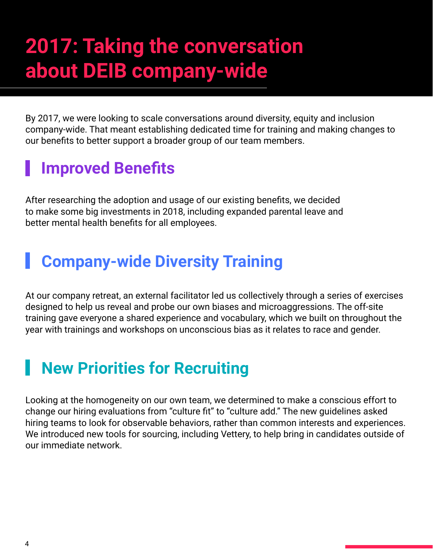# **2017: Taking the conversation about DEIB company-wide**

By 2017, we were looking to scale conversations around diversity, equity and inclusion company-wide. That meant establishing dedicated time for training and making changes to our benefits to better support a broader group of our team members.

### **Improved Benefits**

After researching the adoption and usage of our existing benefits, we decided to make some big investments in 2018, including expanded parental leave and better mental health benefits for all employees.

#### **Company-wide Diversity Training**

At our company retreat, an external facilitator led us collectively through a series of exercises designed to help us reveal and probe our own biases and microaggressions. The off-site training gave everyone a shared experience and vocabulary, which we built on throughout the year with trainings and workshops on unconscious bias as it relates to race and gender.

### **New Priorities for Recruiting**

Looking at the homogeneity on our own team, we determined to make a conscious effort to change our hiring evaluations from "culture fit" to "culture add." The new guidelines asked hiring teams to look for observable behaviors, rather than common interests and experiences. We introduced new tools for sourcing, including Vettery, to help bring in candidates outside of our immediate network.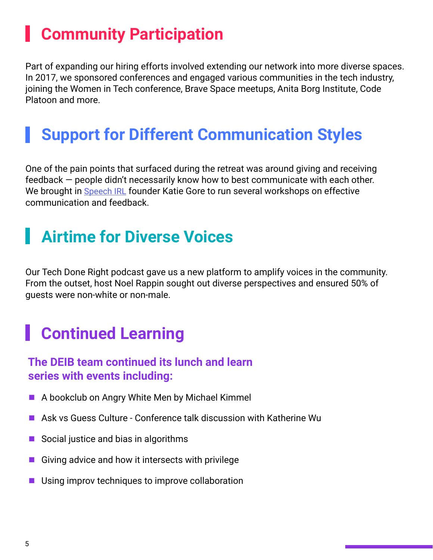### **Community Participation**

Part of expanding our hiring efforts involved extending our network into more diverse spaces. In 2017, we sponsored conferences and engaged various communities in the tech industry, joining the Women in Tech conference, Brave Space meetups, Anita Borg Institute, Code Platoon and more.

#### **Support for Different Communication Styles**

One of the pain points that surfaced during the retreat was around giving and receiving feedback — people didn't necessarily know how to best communicate with each other. We brought in [Speech IRL](https://www.speechirl.com/business-communication-services) founder Katie Gore to run several workshops on effective communication and feedback.

### **Airtime for Diverse Voices**

Our Tech Done Right podcast gave us a new platform to amplify voices in the community. From the outset, host Noel Rappin sought out diverse perspectives and ensured 50% of guests were non-white or non-male.

#### **Continued Learning**

#### **The DEIB team continued its lunch and learn series with events including:**

- A bookclub on Angry White Men by Michael Kimmel
- $\blacksquare$  Ask vs Guess Culture Conference talk discussion with Katherine Wu
- Social justice and bias in algorithms
- Giving advice and how it intersects with privilege
- $\blacksquare$  Using improv techniques to improve collaboration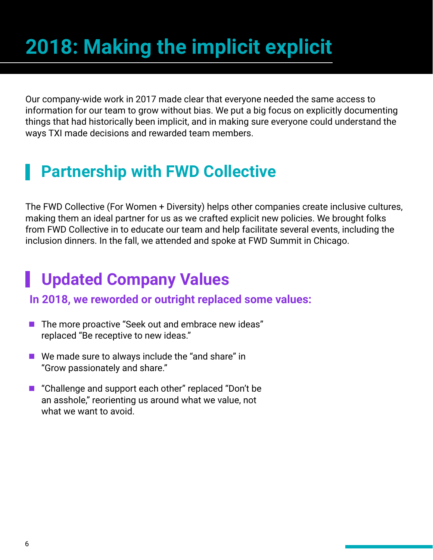# **2018: Making the implicit explicit**

Our company-wide work in 2017 made clear that everyone needed the same access to information for our team to grow without bias. We put a big focus on explicitly documenting things that had historically been implicit, and in making sure everyone could understand the ways TXI made decisions and rewarded team members.

#### **Partnership with FWD Collective**

The FWD Collective (For Women + Diversity) helps other companies create inclusive cultures, making them an ideal partner for us as we crafted explicit new policies. We brought folks from FWD Collective in to educate our team and help facilitate several events, including the inclusion dinners. In the fall, we attended and spoke at FWD Summit in Chicago.

#### **Updated Company Values**

#### **In 2018, we reworded or outright replaced some values:**

- The more proactive "Seek out and embrace new ideas" replaced "Be receptive to new ideas."
- $\blacksquare$  We made sure to always include the "and share" in "Grow passionately and share."
- "Challenge and support each other" replaced "Don't be an asshole," reorienting us around what we value, not what we want to avoid.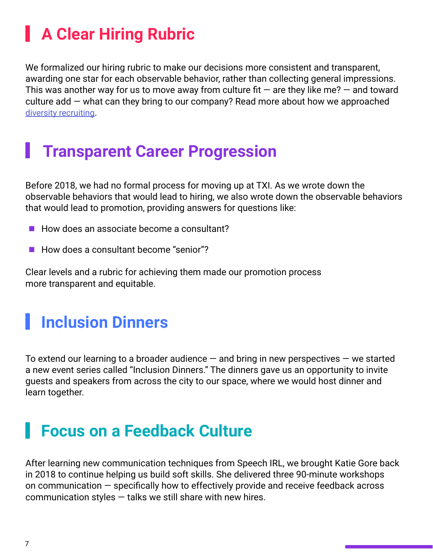### **A Clear Hiring Rubric**

We formalized our hiring rubric to make our decisions more consistent and transparent, awarding one star for each observable behavior, rather than collecting general impressions. This was another way for us to move away from culture fit  $-$  are they like me?  $-$  and toward culture add — what can they bring to our company? Read more about how we approached [diversity recruiting.](https://www.tablexi.com/diversity-recruiting)

#### **Transparent Career Progression**

Before 2018, we had no formal process for moving up at TXI. As we wrote down the observable behaviors that would lead to hiring, we also wrote down the observable behaviors that would lead to promotion, providing answers for questions like:

- $\blacksquare$  How does an associate become a consultant?
- $\blacksquare$  How does a consultant become "senior"?

Clear levels and a rubric for achieving them made our promotion process more transparent and equitable.

#### **Inclusion Dinners**

To extend our learning to a broader audience  $-$  and bring in new perspectives  $-$  we started a new event series called "Inclusion Dinners." The dinners gave us an opportunity to invite guests and speakers from across the city to our space, where we would host dinner and learn together.

#### **Focus on a Feedback Culture**

After learning new communication techniques from Speech IRL, we brought Katie Gore back in 2018 to continue helping us build soft skills. She delivered three 90-minute workshops on communication — specifically how to effectively provide and receive feedback across communication styles  $-$  talks we still share with new hires.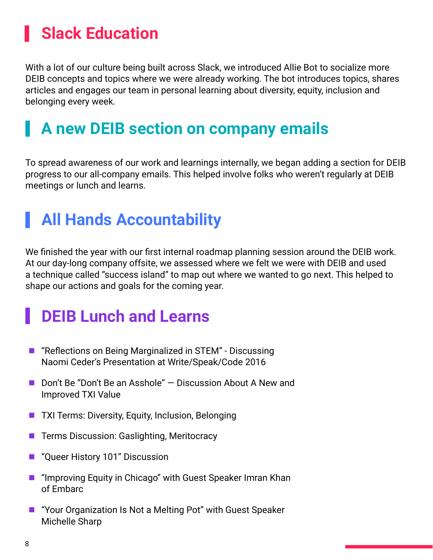### **I** Slack Education

With a lot of our culture being built across Slack, we introduced Allie Bot to socialize more DEIB concepts and topics where we were already working. The bot introduces topics, shares articles and engages our team in personal learning about diversity, equity, inclusion and belonging every week.

#### **A new DEIB section on company emails**

To spread awareness of our work and learnings internally, we began adding a section for DEIB progress to our all-company emails. This helped involve folks who weren't regularly at DEIB meetings or lunch and learns.

### **All Hands Accountability**

We finished the year with our first internal roadmap planning session around the DEIB work. At our day-long company offsite, we assessed where we felt we were with DEIB and used a technique called "success island" to map out where we wanted to go next. This helped to shape our actions and goals for the coming year.

### **DEIB Lunch and Learns**

- "Reflections on Being Marginalized in STEM" Discussing Naomi Ceder's Presentation at Write/Speak/Code 2016
- Don't Be "Don't Be an Asshole"  $-$  Discussion About A New and Improved TXI Value
- **TXI Terms: Diversity, Equity, Inclusion, Belonging**
- Terms Discussion: Gaslighting, Meritocracy
- "Queer History 101" Discussion
- **E** "Improving Equity in Chicago" with Guest Speaker Imran Khan of Embarc
- "Your Organization Is Not a Melting Pot" with Guest Speaker Michelle Sharp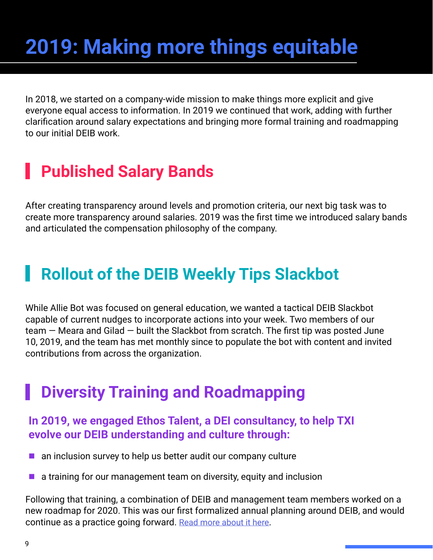# **2019: Making more things equitable**

In 2018, we started on a company-wide mission to make things more explicit and give everyone equal access to information. In 2019 we continued that work, adding with further clarification around salary expectations and bringing more formal training and roadmapping to our initial DEIB work.

#### **Published Salary Bands**

After creating transparency around levels and promotion criteria, our next big task was to create more transparency around salaries. 2019 was the first time we introduced salary bands and articulated the compensation philosophy of the company.

#### **Rollout of the DEIB Weekly Tips Slackbot**

While Allie Bot was focused on general education, we wanted a tactical DEIB Slackbot capable of current nudges to incorporate actions into your week. Two members of our team — Meara and Gilad — built the Slackbot from scratch. The first tip was posted June 10, 2019, and the team has met monthly since to populate the bot with content and invited contributions from across the organization.

#### **Diversity Training and Roadmapping**

#### **In 2019, we engaged Ethos Talent, a DEI consultancy, to help TXI evolve our DEIB understanding and culture through:**

- $\blacksquare$  an inclusion survey to help us better audit our company culture
- $\blacksquare$  a training for our management team on diversity, equity and inclusion

Following that training, a combination of DEIB and management team members worked on a new roadmap for 2020. This was our first formalized annual planning around DEIB, and would continue as a practice going forward. [Read more about it here.](https://www.tablexi.com/diversity-equity-inclusion-and-belonging-at-table-xi)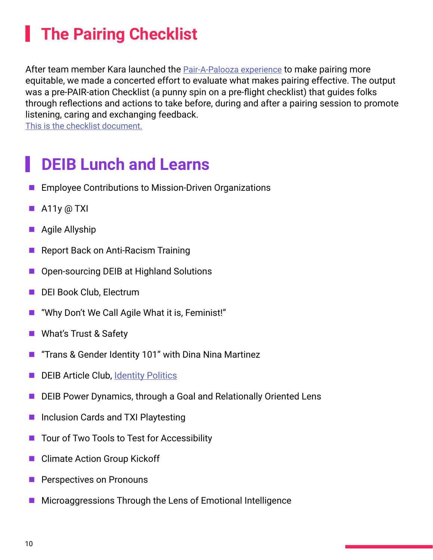### **The Pairing Checklist**

After team member Kara launched the **Pair-A-Palooza experience** to make pairing more equitable, we made a concerted effort to evaluate what makes pairing effective. The output was a pre-PAIR-ation Checklist (a punny spin on a pre-flight checklist) that guides folks through reflections and actions to take before, during and after a pairing session to promote listening, caring and exchanging feedback.

[This is the checklist document.](https://docs.google.com/document/d/1vtbYYPnBzUuWSrmVNPtn2vKtgx8DCbNTCTNgbXsAW94/edit?usp=sharing)

#### **DEIB Lunch and Learns**

- Employee Contributions to Mission-Driven Organizations
- $\blacksquare$  A11y @ TXI
- $\blacksquare$  Agile Allyship
- Report Back on Anti-Racism Training
- Open-sourcing DEIB at Highland Solutions
- DEI Book Club, Electrum
- ["Why Don't We Call Agile What it is, Feminist!"](http://“Why Don’t We Call Agile What it is, Feminist!”)
- What's Trust & Safety
- **T** "Trans & Gender Identity 101" with Dina Nina Martinez
- DEIB Article Club, [Identity Politics](https://tessmartin.medium.com/lets-get-real-about-identity-politics-71b59f76ed15)
- DEIB Power Dynamics, through a Goal and Relationally Oriented Lens
- Inclusion Cards and TXI Playtesting
- Tour of Two Tools to Test for Accessibility
- Climate Action Group Kickoff
- **Perspectives on Pronouns**
- $\blacksquare$  Microaggressions Through the Lens of Emotional Intelligence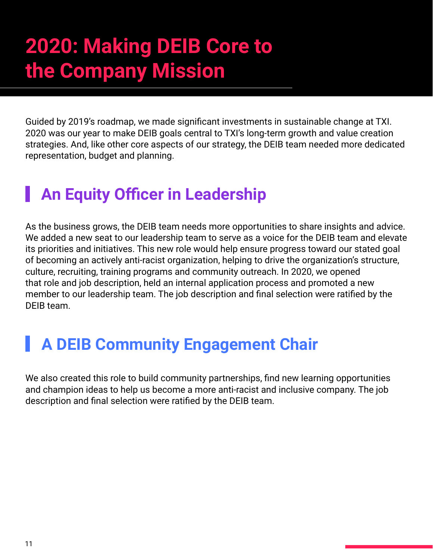# **2020: Making DEIB Core to the Company Mission**

Guided by 2019's roadmap, we made significant investments in sustainable change at TXI. 2020 was our year to make DEIB goals central to TXI's long-term growth and value creation strategies. And, like other core aspects of our strategy, the DEIB team needed more dedicated representation, budget and planning.

#### **An Equity Officer in Leadership**

As the business grows, the DEIB team needs more opportunities to share insights and advice. We added a new seat to our leadership team to serve as a voice for the DEIB team and elevate its priorities and initiatives. This new role would help ensure progress toward our stated goal of becoming an actively anti-racist organization, helping to drive the organization's structure, culture, recruiting, training programs and community outreach. In 2020, we opened that role and job description, held an internal application process and promoted a new member to our leadership team. The job description and final selection were ratified by the DEIB team.

#### **A DEIB Community Engagement Chair**

We also created this role to build community partnerships, find new learning opportunities and champion ideas to help us become a more anti-racist and inclusive company. The job description and final selection were ratified by the DEIB team.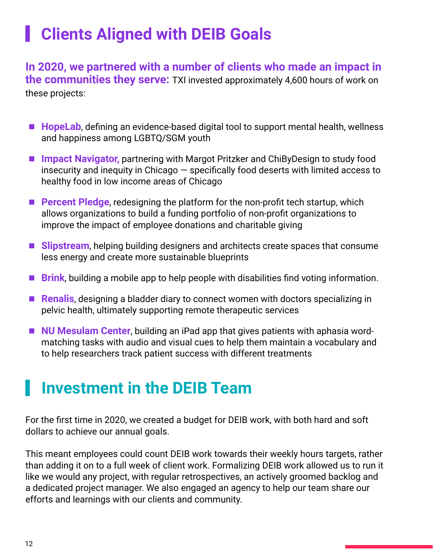### **Clients Aligned with DEIB Goals**

**In 2020, we partnered with a number of clients who made an impact in the communities they serve:** TXI invested approximately 4,600 hours of work on these projects:

- HopeLab, defining an evidence-based digital tool to support mental health, wellness and happiness among LGBTQ/SGM youth
- Impact Navigator, partnering with Margot Pritzker and ChiByDesign to study food insecurity and inequity in Chicago — specifically food deserts with limited access to healthy food in low income areas of Chicago
- **Percent Pledge**, redesigning the platform for the non-profit tech startup, which allows organizations to build a funding portfolio of non-profit organizations to improve the impact of employee donations and charitable giving
- **Slipstream**, helping building designers and architects create spaces that consume less energy and create more sustainable blueprints
- **Brink**, building a mobile app to help people with disabilities find voting information.
- Renalis, designing a bladder diary to connect women with doctors specializing in pelvic health, ultimately supporting remote therapeutic services
- **NU Mesulam Center**, building an iPad app that gives patients with aphasia wordmatching tasks with audio and visual cues to help them maintain a vocabulary and to help researchers track patient success with different treatments

#### **Investment in the DEIB Team**

For the first time in 2020, we created a budget for DEIB work, with both hard and soft dollars to achieve our annual goals.

This meant employees could count DEIB work towards their weekly hours targets, rather than adding it on to a full week of client work. Formalizing DEIB work allowed us to run it like we would any project, with regular retrospectives, an actively groomed backlog and a dedicated project manager. We also engaged an agency to help our team share our efforts and learnings with our clients and community.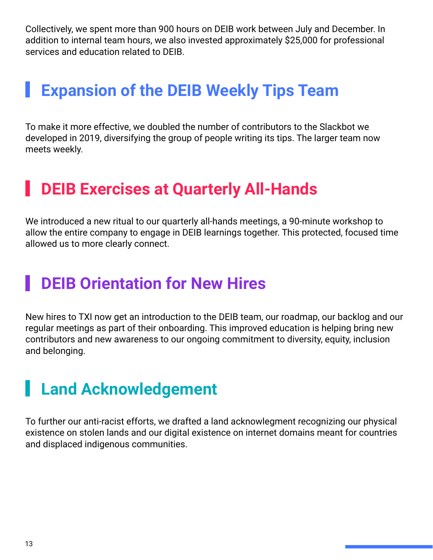Collectively, we spent more than 900 hours on DEIB work between July and December. In addition to internal team hours, we also invested approximately \$25,000 for professional services and education related to DEIB.

#### **Expansion of the DEIB Weekly Tips Team**

To make it more effective, we doubled the number of contributors to the Slackbot we developed in 2019, diversifying the group of people writing its tips. The larger team now meets weekly.

#### **DEIB Exercises at Quarterly All-Hands**

We introduced a new ritual to our quarterly all-hands meetings, a 90-minute workshop to allow the entire company to engage in DEIB learnings together. This protected, focused time allowed us to more clearly connect.

#### **DEIB Orientation for New Hires**

New hires to TXI now get an introduction to the DEIB team, our roadmap, our backlog and our regular meetings as part of their onboarding. This improved education is helping bring new contributors and new awareness to our ongoing commitment to diversity, equity, inclusion and belonging.

#### **Land Acknowledgement**

To further our anti-racist efforts, we drafted a land acknowlegment recognizing our physical existence on stolen lands and our digital existence on internet domains meant for countries and displaced indigenous communities.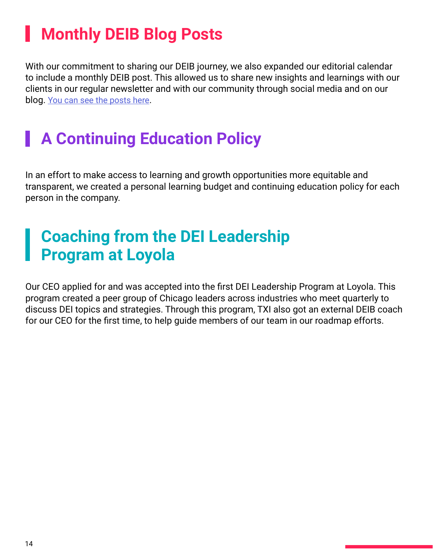### **Monthly DEIB Blog Posts**

With our commitment to sharing our DEIB journey, we also expanded our editorial calendar to include a monthly DEIB post. This allowed us to share new insights and learnings with our clients in our regular newsletter and with our community through social media and on our blog. [You can see the posts here](https://www.tablexi.com/category/culture).

#### **A Continuing Education Policy**

In an effort to make access to learning and growth opportunities more equitable and transparent, we created a personal learning budget and continuing education policy for each person in the company.

#### **Coaching from the DEI Leadership Program at Loyola**

Our CEO applied for and was accepted into the first DEI Leadership Program at Loyola. This program created a peer group of Chicago leaders across industries who meet quarterly to discuss DEI topics and strategies. Through this program, TXI also got an external DEIB coach for our CEO for the first time, to help guide members of our team in our roadmap efforts.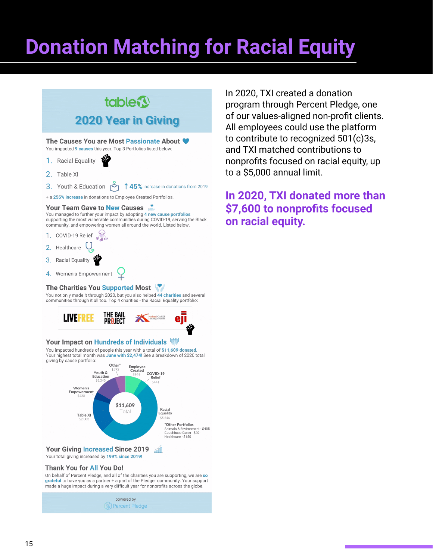# **Donation Matching for Racial Equity**



The Causes You are Most Passionate About <a> You impacted 9 causes this year. Top 3 Portfolios listed below:

- 1. Racial Equality
- 2 Table XI

3. Youth & Education 145% increase in donations from 2019

+ a 255% increase in donations to Employee Created Portfolios.

#### Your Team Gave to New Causes

You managed to further your impact by adopting 4 new cause portfolios supporting the most vulnerable communities during COVID-19, serving the Black community, and empowering women all around the world. Listed below.

- 1. COVID-19 Relief
- 2. Healthcare
- 3. Racial Equality
- 4. Women's Empowerment

#### The Charities You Supported Most

You not only made it through 2020, but you also helped 44 charities and several communities through it all too. Top 4 charities - the Racial Equality portfolio:



#### Your Impact on Hundreds of Individuals W

You impacted hundreds of people this year with a total of \$11,609 donated. Your highest total month was June with \$2,474! See a breakdown of 2020 total giving by cause portfolio:



#### Your total giving increased by 199% since 2019!

#### **Thank You for All You Do!**

On behalf of Percent Pledge, and all of the charities you are supporting, we are so grateful to have you as a partner + a part of the Pledger community. Your support made a huge impact during a very difficult year for nonprofits across the globe.

powered by (%) Percent Pledge

In 2020, TXI created a donation program through Percent Pledge, one of our values-aligned non-profit clients. All employees could use the platform to contribute to recognized 501(c)3s, and TXI matched contributions to nonprofits focused on racial equity, up to a \$5,000 annual limit.

#### **In 2020, TXI donated more than \$7,600 to nonprofits focused on racial equity.**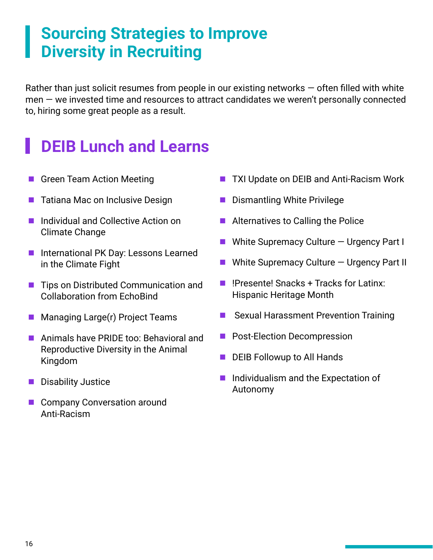#### **Sourcing Strategies to Improve Diversity in Recruiting**

Rather than just solicit resumes from people in our existing networks  $-$  often filled with white men — we invested time and resources to attract candidates we weren't personally connected to, hiring some great people as a result.

#### **DEIB Lunch and Learns**

- Green Team Action Meeting
- Tatiana Mac on Inclusive Design
- **E** Individual and Collective Action on Climate Change
- International PK Day: Lessons Learned in the Climate Fight
- Tips on Distributed Communication and Collaboration from EchoBind
- $\blacksquare$  Managing Large(r) Project Teams
- **Animals have PRIDE too: Behavioral and** Reproductive Diversity in the Animal Kingdom
- **Disability Justice**
- Company Conversation around Anti-Racism
- **TXI Update on DEIB and Anti-Racism Work**
- **Dismantling White Privilege**
- $\blacksquare$  Alternatives to Calling the Police
- $\blacksquare$  White Supremacy Culture  $-$  Urgency Part I
- $\blacksquare$  White Supremacy Culture  $-$  Urgency Part II
- $\blacksquare$  !Presente! Snacks + Tracks for Latinx: Hispanic Heritage Month
- Sexual Harassment Prevention Training
- Post-Election Decompression
- DEIB Followup to All Hands
- **Individualism and the Expectation of** Autonomy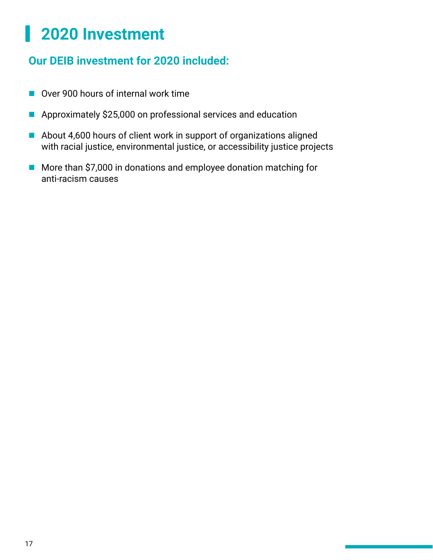#### **2020 Investment** H

#### **Our DEIB investment for 2020 included:**

- Over 900 hours of internal work time
- Approximately \$25,000 on professional services and education
- About 4,600 hours of client work in support of organizations aligned with racial justice, environmental justice, or accessibility justice projects
- More than \$7,000 in donations and employee donation matching for anti-racism causes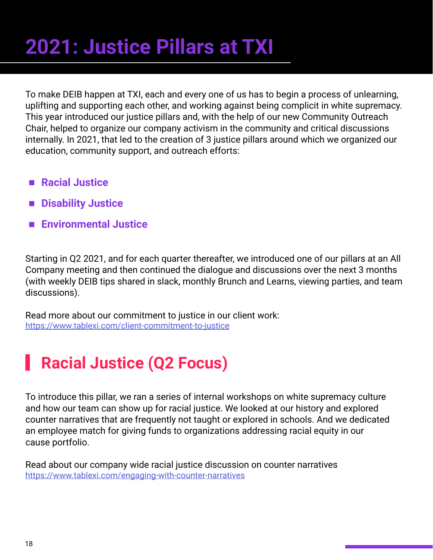# **2021: Justice Pillars at TXI**

To make DEIB happen at TXI, each and every one of us has to begin a process of unlearning, uplifting and supporting each other, and working against being complicit in white supremacy. This year introduced our justice pillars and, with the help of our new Community Outreach Chair, helped to organize our company activism in the community and critical discussions internally. In 2021, that led to the creation of 3 justice pillars around which we organized our education, community support, and outreach efforts:

- Racial Justice
- $\blacksquare$  **Disability Justice**
- **Environmental Justice**

Starting in Q2 2021, and for each quarter thereafter, we introduced one of our pillars at an All Company meeting and then continued the dialogue and discussions over the next 3 months (with weekly DEIB tips shared in slack, monthly Brunch and Learns, viewing parties, and team discussions).

Read more about our commitment to justice in our client work: <https://www.tablexi.com/client-commitment-to-justice>

### **Racial Justice (Q2 Focus)**

To introduce this pillar, we ran a series of internal workshops on white supremacy culture and how our team can show up for racial justice. We looked at our history and explored counter narratives that are frequently not taught or explored in schools. And we dedicated an employee match for giving funds to organizations addressing racial equity in our cause portfolio.

Read about our company wide racial justice discussion on counter narratives <https://www.tablexi.com/engaging-with-counter-narratives>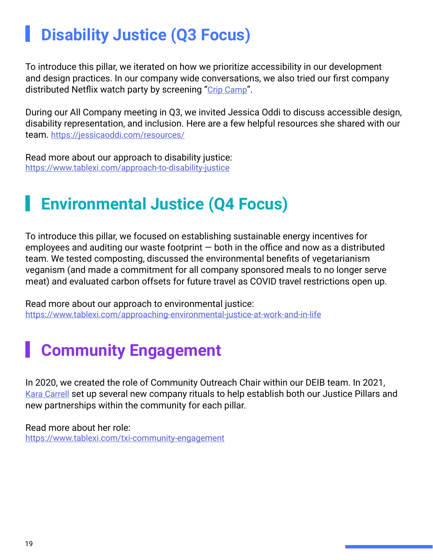### **Disability Justice (Q3 Focus)**

To introduce this pillar, we iterated on how we prioritize accessibility in our development and design practices. In our company wide conversations, we also tried our first company distributed Netflix watch party by screening "[Crip Camp"](https://www.netflix.com/title/81001496).

During our All Company meeting in Q3, we invited Jessica Oddi to discuss accessible design, disability representation, and inclusion. Here are a few helpful resources she shared with our team.<https://jessicaoddi.com/resources/>

Read more about our approach to disability justice: <https://www.tablexi.com/approach-to-disability-justice>

#### **Environmental Justice (Q4 Focus)**

To introduce this pillar, we focused on establishing sustainable energy incentives for employees and auditing our waste footprint — both in the office and now as a distributed team. We tested composting, discussed the environmental benefits of vegetarianism veganism (and made a commitment for all company sponsored meals to no longer serve meat) and evaluated carbon offsets for future travel as COVID travel restrictions open up.

Read more about our approach to environmental justice: <https://www.tablexi.com/approaching-environmental-justice-at-work-and-in-life>

### **Community Engagement**

In 2020, we created the role of Community Outreach Chair within our DEIB team. In 2021, [Kara Carrell](https://www.linkedin.com/in/karaajc/) set up several new company rituals to help establish both our Justice Pillars and new partnerships within the community for each pillar.

Read more about her role: <https://www.tablexi.com/txi-community-engagement>